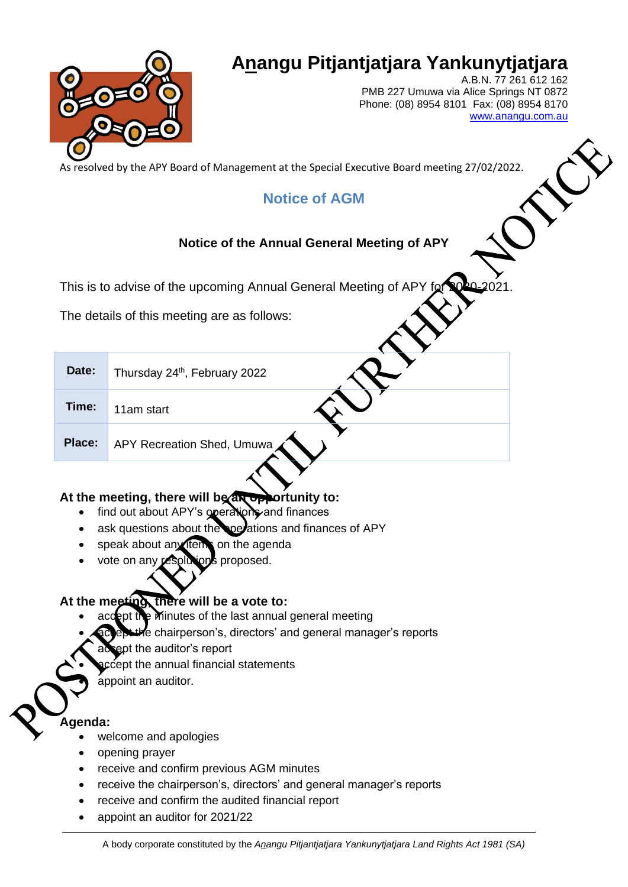

# **Anangu Pitjantjatjara Yankunytjatjara**

A.B.N. 77 261 612 162 PMB 227 Umuwa via Alice Springs NT 0872 Phone: (08) 8954 8101 Fax: (08) 8954 8170 [www.anangu.com.au](http://www.anangu.com.au/)

As resolved by the APY Board of Management at the Special Executive Board meeting 27/02/2022.

## **Notice of AGM**

### **Notice of the Annual General Meeting of APY**

This is to advise of the upcoming Annual General Meeting of APY for

The details of this meeting are as follows:

| Date:  | Thursday 24th, February 2022 |
|--------|------------------------------|
| Time:  | 11am start                   |
| Place: | APY Recreation Shed, Umuwa   |

#### **At the meeting, there will be an opportunity to:**

- find out about APY's operations and finances
- ask questions about the operations and finances of APY
- speak about any items on the agenda
- vote on any resolutions proposed.

#### **At the meeting, there will be a vote to:**

- accept the minutes of the last annual general meeting
- accept the chairperson's, directors' and general manager's reports
- ept the auditor's report
- accept the annual financial statements
- appoint an auditor.

#### **Agenda:**

- welcome and apologies
- opening prayer
- receive and confirm previous AGM minutes
- receive the chairperson's, directors' and general manager's reports
- receive and confirm the audited financial report
- appoint an auditor for 2021/22